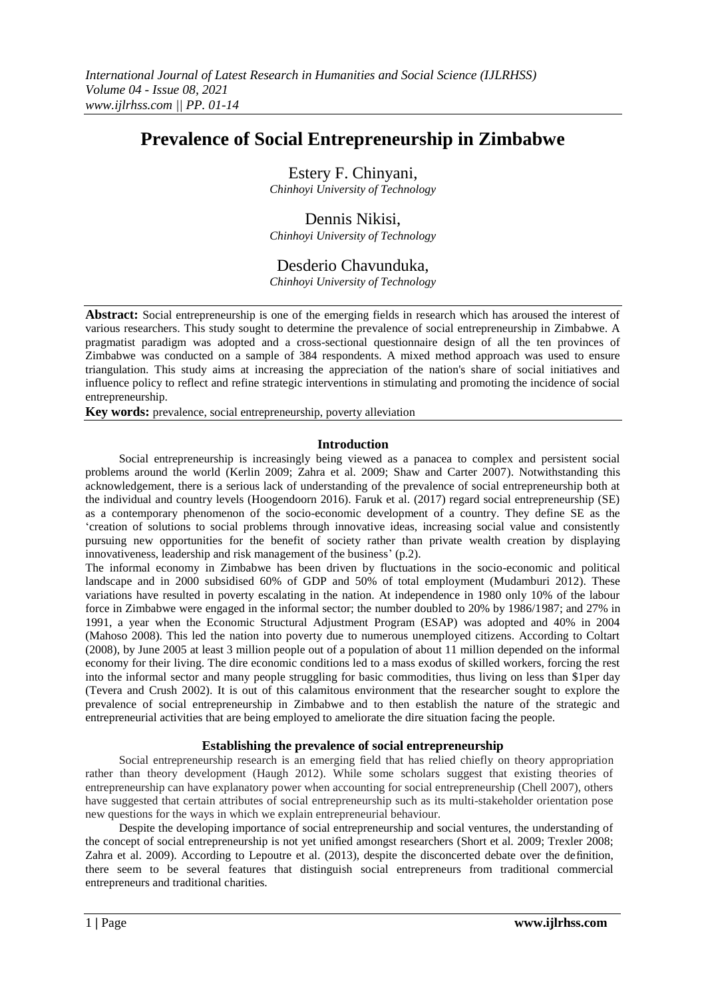# **Prevalence of Social Entrepreneurship in Zimbabwe**

Estery F. Chinyani, *Chinhoyi University of Technology*

# Dennis Nikisi, *Chinhoyi University of Technology*

Desderio Chavunduka, *Chinhoyi University of Technology*

**Abstract:** Social entrepreneurship is one of the emerging fields in research which has aroused the interest of various researchers. This study sought to determine the prevalence of social entrepreneurship in Zimbabwe. A pragmatist paradigm was adopted and a cross-sectional questionnaire design of all the ten provinces of Zimbabwe was conducted on a sample of 384 respondents. A mixed method approach was used to ensure triangulation. This study aims at increasing the appreciation of the nation's share of social initiatives and influence policy to reflect and refine strategic interventions in stimulating and promoting the incidence of social entrepreneurship.

**Key words:** prevalence, social entrepreneurship, poverty alleviation

# **Introduction**

Social entrepreneurship is increasingly being viewed as a panacea to complex and persistent social problems around the world (Kerlin 2009; Zahra et al. 2009; Shaw and Carter 2007). Notwithstanding this acknowledgement, there is a serious lack of understanding of the prevalence of social entrepreneurship both at the individual and country levels (Hoogendoorn 2016). Faruk et al. (2017) regard social entrepreneurship (SE) as a contemporary phenomenon of the socio-economic development of a country. They define SE as the "creation of solutions to social problems through innovative ideas, increasing social value and consistently pursuing new opportunities for the benefit of society rather than private wealth creation by displaying innovativeness, leadership and risk management of the business' (p.2).

The informal economy in Zimbabwe has been driven by fluctuations in the socio-economic and political landscape and in 2000 subsidised 60% of GDP and 50% of total employment (Mudamburi 2012). These variations have resulted in poverty escalating in the nation. At independence in 1980 only 10% of the labour force in Zimbabwe were engaged in the informal sector; the number doubled to 20% by 1986/1987; and 27% in 1991, a year when the Economic Structural Adjustment Program (ESAP) was adopted and 40% in 2004 (Mahoso 2008). This led the nation into poverty due to numerous unemployed citizens. According to Coltart (2008), by June 2005 at least 3 million people out of a population of about 11 million depended on the informal economy for their living. The dire economic conditions led to a mass exodus of skilled workers, forcing the rest into the informal sector and many people struggling for basic commodities, thus living on less than \$1per day (Tevera and Crush 2002). It is out of this calamitous environment that the researcher sought to explore the prevalence of social entrepreneurship in Zimbabwe and to then establish the nature of the strategic and entrepreneurial activities that are being employed to ameliorate the dire situation facing the people.

# **Establishing the prevalence of social entrepreneurship**

Social entrepreneurship research is an emerging field that has relied chiefly on theory appropriation rather than theory development (Haugh 2012). While some scholars suggest that existing theories of entrepreneurship can have explanatory power when accounting for social entrepreneurship (Chell 2007), others have suggested that certain attributes of social entrepreneurship such as its multi-stakeholder orientation pose new questions for the ways in which we explain entrepreneurial behaviour.

Despite the developing importance of social entrepreneurship and social ventures, the understanding of the concept of social entrepreneurship is not yet unified amongst researchers (Short et al. 2009; Trexler 2008; Zahra et al. 2009). According to Lepoutre et al. (2013), despite the disconcerted debate over the definition, there seem to be several features that distinguish social entrepreneurs from traditional commercial entrepreneurs and traditional charities.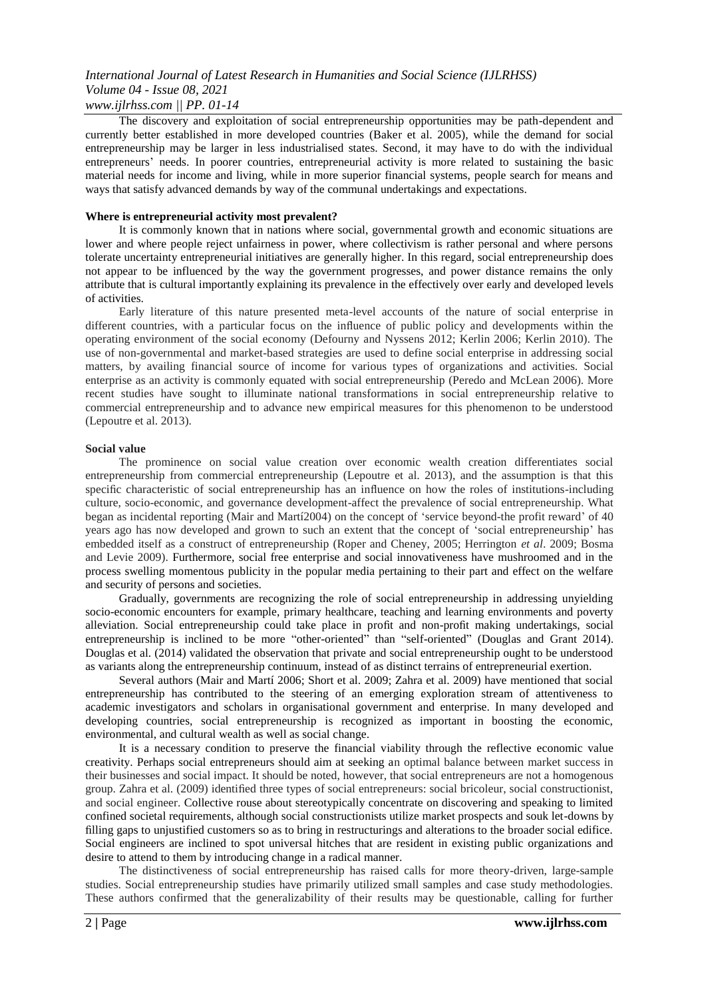*www.ijlrhss.com || PP. 01-14*

The discovery and exploitation of social entrepreneurship opportunities may be path-dependent and currently better established in more developed countries (Baker et al. 2005), while the demand for social entrepreneurship may be larger in less industrialised states. Second, it may have to do with the individual entrepreneurs" needs. In poorer countries, entrepreneurial activity is more related to sustaining the basic material needs for income and living, while in more superior financial systems, people search for means and ways that satisfy advanced demands by way of the communal undertakings and expectations.

### **Where is entrepreneurial activity most prevalent?**

It is commonly known that in nations where social, governmental growth and economic situations are lower and where people reject unfairness in power, where collectivism is rather personal and where persons tolerate uncertainty entrepreneurial initiatives are generally higher. In this regard, social entrepreneurship does not appear to be influenced by the way the government progresses, and power distance remains the only attribute that is cultural importantly explaining its prevalence in the effectively over early and developed levels of activities.

Early literature of this nature presented meta-level accounts of the nature of social enterprise in different countries, with a particular focus on the influence of public policy and developments within the operating environment of the social economy (Defourny and Nyssens 2012; Kerlin 2006; Kerlin 2010). The use of non-governmental and market-based strategies are used to define social enterprise in addressing social matters, by availing financial source of income for various types of organizations and activities. Social enterprise as an activity is commonly equated with social entrepreneurship (Peredo and McLean 2006). More recent studies have sought to illuminate national transformations in social entrepreneurship relative to commercial entrepreneurship and to advance new empirical measures for this phenomenon to be understood (Lepoutre et al. 2013).

#### **Social value**

The prominence on social value creation over economic wealth creation differentiates social entrepreneurship from commercial entrepreneurship (Lepoutre et al. 2013), and the assumption is that this specific characteristic of social entrepreneurship has an influence on how the roles of institutions-including culture, socio-economic, and governance development-affect the prevalence of social entrepreneurship. What began as incidental reporting (Mair and Martí2004) on the concept of "service beyond-the profit reward" of 40 years ago has now developed and grown to such an extent that the concept of "social entrepreneurship" has embedded itself as a construct of entrepreneurship (Roper and Cheney, 2005; Herrington *et al*. 2009; Bosma and Levie 2009). Furthermore, social free enterprise and social innovativeness have mushroomed and in the process swelling momentous publicity in the popular media pertaining to their part and effect on the welfare and security of persons and societies.

Gradually, governments are recognizing the role of social entrepreneurship in addressing unyielding socio-economic encounters for example, primary healthcare, teaching and learning environments and poverty alleviation. Social entrepreneurship could take place in profit and non-profit making undertakings, social entrepreneurship is inclined to be more "other-oriented" than "self-oriented" (Douglas and Grant 2014). Douglas et al. (2014) validated the observation that private and social entrepreneurship ought to be understood as variants along the entrepreneurship continuum, instead of as distinct terrains of entrepreneurial exertion.

Several authors (Mair and Martí 2006; Short et al. 2009; Zahra et al. 2009) have mentioned that social entrepreneurship has contributed to the steering of an emerging exploration stream of attentiveness to academic investigators and scholars in organisational government and enterprise. In many developed and developing countries, social entrepreneurship is recognized as important in boosting the economic, environmental, and cultural wealth as well as social change.

It is a necessary condition to preserve the financial viability through the reflective economic value creativity. Perhaps social entrepreneurs should aim at seeking an optimal balance between market success in their businesses and social impact. It should be noted, however, that social entrepreneurs are not a homogenous group. Zahra et al. (2009) identified three types of social entrepreneurs: social bricoleur, social constructionist, and social engineer. Collective rouse about stereotypically concentrate on discovering and speaking to limited confined societal requirements, although social constructionists utilize market prospects and souk let-downs by filling gaps to unjustified customers so as to bring in restructurings and alterations to the broader social edifice. Social engineers are inclined to spot universal hitches that are resident in existing public organizations and desire to attend to them by introducing change in a radical manner.

The distinctiveness of social entrepreneurship has raised calls for more theory-driven, large-sample studies. Social entrepreneurship studies have primarily utilized small samples and case study methodologies. These authors confirmed that the generalizability of their results may be questionable, calling for further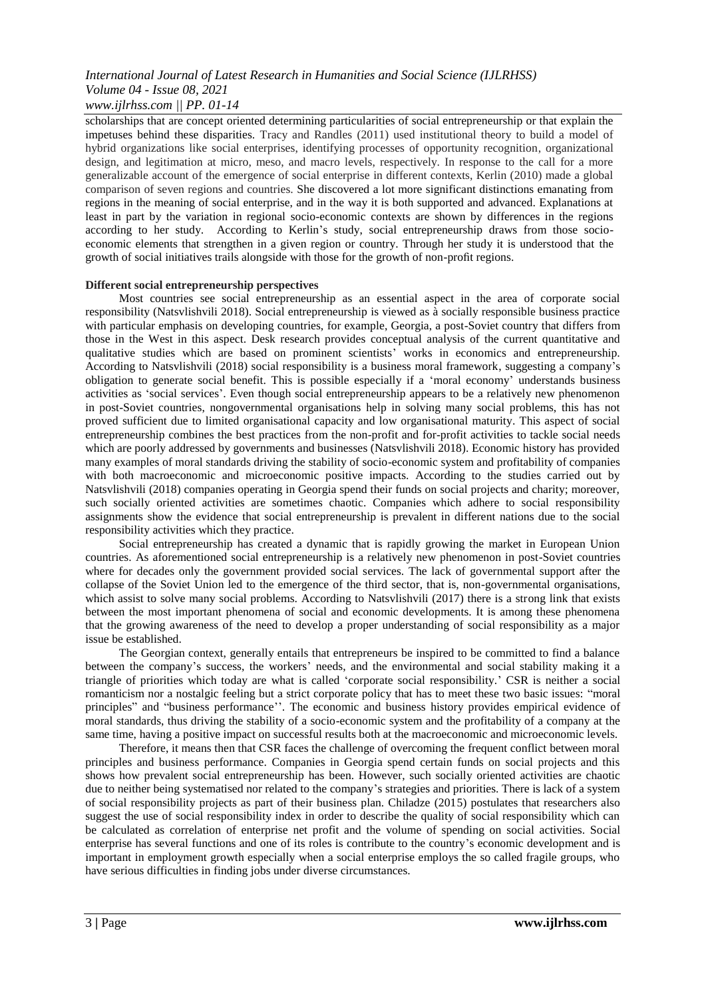scholarships that are concept oriented determining particularities of social entrepreneurship or that explain the impetuses behind these disparities. Tracy and Randles (2011) used institutional theory to build a model of hybrid organizations like social enterprises, identifying processes of opportunity recognition, organizational design, and legitimation at micro, meso, and macro levels, respectively. In response to the call for a more generalizable account of the emergence of social enterprise in different contexts, Kerlin (2010) made a global comparison of seven regions and countries. She discovered a lot more significant distinctions emanating from regions in the meaning of social enterprise, and in the way it is both supported and advanced. Explanations at least in part by the variation in regional socio-economic contexts are shown by differences in the regions according to her study. According to Kerlin"s study, social entrepreneurship draws from those socioeconomic elements that strengthen in a given region or country. Through her study it is understood that the growth of social initiatives trails alongside with those for the growth of non-profit regions.

#### **Different social entrepreneurship perspectives**

Most countries see social entrepreneurship as an essential aspect in the area of corporate social responsibility (Natsvlishvili 2018). Social entrepreneurship is viewed as à socially responsible business practice with particular emphasis on developing countries, for example, Georgia, a post-Soviet country that differs from those in the West in this aspect. Desk research provides conceptual analysis of the current quantitative and qualitative studies which are based on prominent scientists' works in economics and entrepreneurship. According to Natsvlishvili (2018) social responsibility is a business moral framework, suggesting a company"s obligation to generate social benefit. This is possible especially if a "moral economy" understands business activities as "social services". Even though social entrepreneurship appears to be a relatively new phenomenon in post-Soviet countries, nongovernmental organisations help in solving many social problems, this has not proved sufficient due to limited organisational capacity and low organisational maturity. This aspect of social entrepreneurship combines the best practices from the non-profit and for-profit activities to tackle social needs which are poorly addressed by governments and businesses (Natsvlishvili 2018). Economic history has provided many examples of moral standards driving the stability of socio-economic system and profitability of companies with both macroeconomic and microeconomic positive impacts. According to the studies carried out by Natsvlishvili (2018) companies operating in Georgia spend their funds on social projects and charity; moreover, such socially oriented activities are sometimes chaotic. Companies which adhere to social responsibility assignments show the evidence that social entrepreneurship is prevalent in different nations due to the social responsibility activities which they practice.

Social entrepreneurship has created a dynamic that is rapidly growing the market in European Union countries. As aforementioned social entrepreneurship is a relatively new phenomenon in post-Soviet countries where for decades only the government provided social services. The lack of governmental support after the collapse of the Soviet Union led to the emergence of the third sector, that is, non-governmental organisations, which assist to solve many social problems. According to Natsvlishvili (2017) there is a strong link that exists between the most important phenomena of social and economic developments. It is among these phenomena that the growing awareness of the need to develop a proper understanding of social responsibility as a major issue be established.

The Georgian context, generally entails that entrepreneurs be inspired to be committed to find a balance between the company's success, the workers' needs, and the environmental and social stability making it a triangle of priorities which today are what is called "corporate social responsibility." CSR is neither a social romanticism nor a nostalgic feeling but a strict corporate policy that has to meet these two basic issues: "moral principles" and "business performance"". The economic and business history provides empirical evidence of moral standards, thus driving the stability of a socio-economic system and the profitability of a company at the same time, having a positive impact on successful results both at the macroeconomic and microeconomic levels.

Therefore, it means then that CSR faces the challenge of overcoming the frequent conflict between moral principles and business performance. Companies in Georgia spend certain funds on social projects and this shows how prevalent social entrepreneurship has been. However, such socially oriented activities are chaotic due to neither being systematised nor related to the company's strategies and priorities. There is lack of a system of social responsibility projects as part of their business plan. Chiladze (2015) postulates that researchers also suggest the use of social responsibility index in order to describe the quality of social responsibility which can be calculated as correlation of enterprise net profit and the volume of spending on social activities. Social enterprise has several functions and one of its roles is contribute to the country"s economic development and is important in employment growth especially when a social enterprise employs the so called fragile groups, who have serious difficulties in finding jobs under diverse circumstances.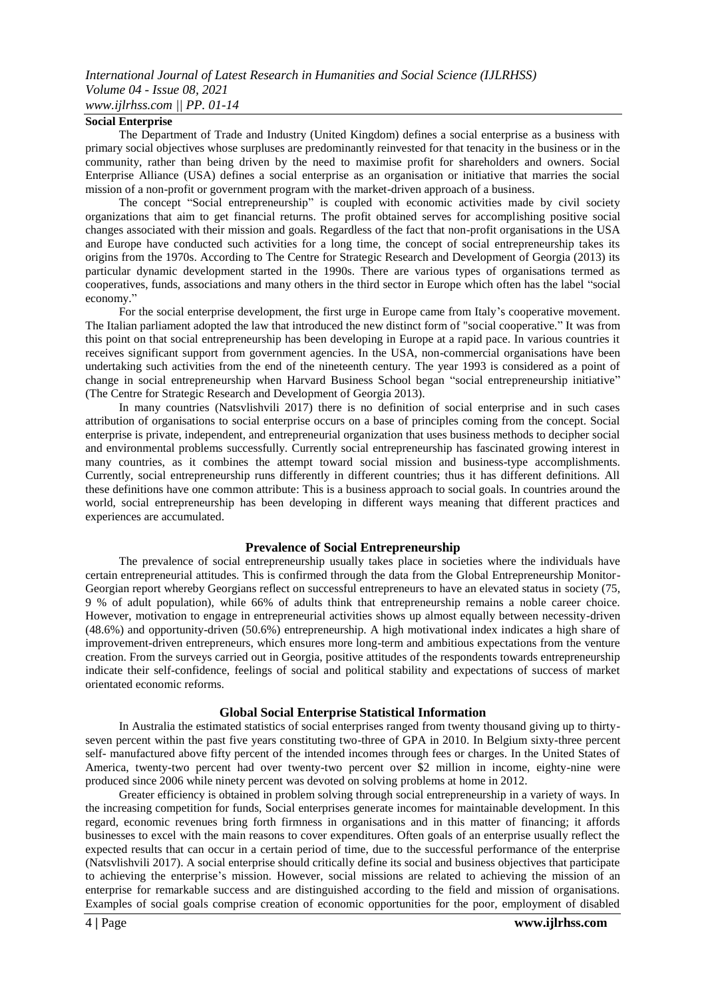#### **Social Enterprise**

The Department of Trade and Industry (United Kingdom) defines a social enterprise as a business with primary social objectives whose surpluses are predominantly reinvested for that tenacity in the business or in the community, rather than being driven by the need to maximise profit for shareholders and owners. Social Enterprise Alliance (USA) defines a social enterprise as an organisation or initiative that marries the social mission of a non-profit or government program with the market-driven approach of a business.

The concept "Social entrepreneurship" is coupled with economic activities made by civil society organizations that aim to get financial returns. The profit obtained serves for accomplishing positive social changes associated with their mission and goals. Regardless of the fact that non-profit organisations in the USA and Europe have conducted such activities for a long time, the concept of social entrepreneurship takes its origins from the 1970s. According to The Centre for Strategic Research and Development of Georgia (2013) its particular dynamic development started in the 1990s. There are various types of organisations termed as cooperatives, funds, associations and many others in the third sector in Europe which often has the label "social economy."

For the social enterprise development, the first urge in Europe came from Italy"s cooperative movement. The Italian parliament adopted the law that introduced the new distinct form of "social cooperative." It was from this point on that social entrepreneurship has been developing in Europe at a rapid pace. In various countries it receives significant support from government agencies. In the USA, non-commercial organisations have been undertaking such activities from the end of the nineteenth century. The year 1993 is considered as a point of change in social entrepreneurship when Harvard Business School began "social entrepreneurship initiative" (The Centre for Strategic Research and Development of Georgia 2013).

In many countries (Natsvlishvili 2017) there is no definition of social enterprise and in such cases attribution of organisations to social enterprise occurs on a base of principles coming from the concept. Social enterprise is private, independent, and entrepreneurial organization that uses business methods to decipher social and environmental problems successfully. Currently social entrepreneurship has fascinated growing interest in many countries, as it combines the attempt toward social mission and business-type accomplishments. Currently, social entrepreneurship runs differently in different countries; thus it has different definitions. All these definitions have one common attribute: This is a business approach to social goals. In countries around the world, social entrepreneurship has been developing in different ways meaning that different practices and experiences are accumulated.

#### **Prevalence of Social Entrepreneurship**

The prevalence of social entrepreneurship usually takes place in societies where the individuals have certain entrepreneurial attitudes. This is confirmed through the data from the Global Entrepreneurship Monitor-Georgian report whereby Georgians reflect on successful entrepreneurs to have an elevated status in society (75, 9 % of adult population), while 66% of adults think that entrepreneurship remains a noble career choice. However, motivation to engage in entrepreneurial activities shows up almost equally between necessity-driven (48.6%) and opportunity-driven (50.6%) entrepreneurship. A high motivational index indicates a high share of improvement-driven entrepreneurs, which ensures more long-term and ambitious expectations from the venture creation. From the surveys carried out in Georgia, positive attitudes of the respondents towards entrepreneurship indicate their self-confidence, feelings of social and political stability and expectations of success of market orientated economic reforms.

#### **Global Social Enterprise Statistical Information**

In Australia the estimated statistics of social enterprises ranged from twenty thousand giving up to thirtyseven percent within the past five years constituting two-three of GPA in 2010. In Belgium sixty-three percent self- manufactured above fifty percent of the intended incomes through fees or charges. In the United States of America, twenty-two percent had over twenty-two percent over \$2 million in income, eighty-nine were produced since 2006 while ninety percent was devoted on solving problems at home in 2012.

Greater efficiency is obtained in problem solving through social entrepreneurship in a variety of ways. In the increasing competition for funds, Social enterprises generate incomes for maintainable development. In this regard, economic revenues bring forth firmness in organisations and in this matter of financing; it affords businesses to excel with the main reasons to cover expenditures. Often goals of an enterprise usually reflect the expected results that can occur in a certain period of time, due to the successful performance of the enterprise (Natsvlishvili 2017). A social enterprise should critically define its social and business objectives that participate to achieving the enterprise"s mission. However, social missions are related to achieving the mission of an enterprise for remarkable success and are distinguished according to the field and mission of organisations. Examples of social goals comprise creation of economic opportunities for the poor, employment of disabled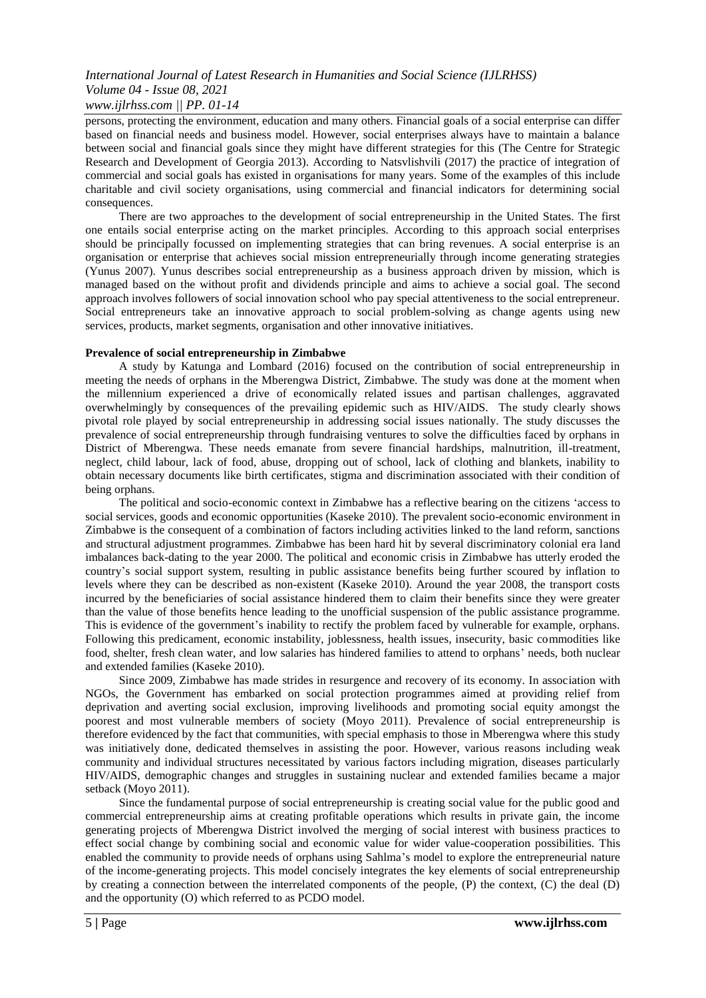persons, protecting the environment, education and many others. Financial goals of a social enterprise can differ based on financial needs and business model. However, social enterprises always have to maintain a balance between social and financial goals since they might have different strategies for this (The Centre for Strategic Research and Development of Georgia 2013). According to Natsvlishvili (2017) the practice of integration of commercial and social goals has existed in organisations for many years. Some of the examples of this include charitable and civil society organisations, using commercial and financial indicators for determining social consequences.

There are two approaches to the development of social entrepreneurship in the United States. The first one entails social enterprise acting on the market principles. According to this approach social enterprises should be principally focussed on implementing strategies that can bring revenues. A social enterprise is an organisation or enterprise that achieves social mission entrepreneurially through income generating strategies (Yunus 2007). Yunus describes social entrepreneurship as a business approach driven by mission, which is managed based on the without profit and dividends principle and aims to achieve a social goal. The second approach involves followers of social innovation school who pay special attentiveness to the social entrepreneur. Social entrepreneurs take an innovative approach to social problem-solving as change agents using new services, products, market segments, organisation and other innovative initiatives.

#### **Prevalence of social entrepreneurship in Zimbabwe**

A study by Katunga and Lombard (2016) focused on the contribution of social entrepreneurship in meeting the needs of orphans in the Mberengwa District, Zimbabwe. The study was done at the moment when the millennium experienced a drive of economically related issues and partisan challenges, aggravated overwhelmingly by consequences of the prevailing epidemic such as HIV/AIDS. The study clearly shows pivotal role played by social entrepreneurship in addressing social issues nationally. The study discusses the prevalence of social entrepreneurship through fundraising ventures to solve the difficulties faced by orphans in District of Mberengwa. These needs emanate from severe financial hardships, malnutrition, ill-treatment, neglect, child labour, lack of food, abuse, dropping out of school, lack of clothing and blankets, inability to obtain necessary documents like birth certificates, stigma and discrimination associated with their condition of being orphans.

The political and socio-economic context in Zimbabwe has a reflective bearing on the citizens "access to social services, goods and economic opportunities (Kaseke 2010). The prevalent socio-economic environment in Zimbabwe is the consequent of a combination of factors including activities linked to the land reform, sanctions and structural adjustment programmes. Zimbabwe has been hard hit by several discriminatory colonial era land imbalances back-dating to the year 2000. The political and economic crisis in Zimbabwe has utterly eroded the country"s social support system, resulting in public assistance benefits being further scoured by inflation to levels where they can be described as non-existent (Kaseke 2010). Around the year 2008, the transport costs incurred by the beneficiaries of social assistance hindered them to claim their benefits since they were greater than the value of those benefits hence leading to the unofficial suspension of the public assistance programme. This is evidence of the government"s inability to rectify the problem faced by vulnerable for example, orphans. Following this predicament, economic instability, joblessness, health issues, insecurity, basic commodities like food, shelter, fresh clean water, and low salaries has hindered families to attend to orphans" needs, both nuclear and extended families (Kaseke 2010).

Since 2009, Zimbabwe has made strides in resurgence and recovery of its economy. In association with NGOs, the Government has embarked on social protection programmes aimed at providing relief from deprivation and averting social exclusion, improving livelihoods and promoting social equity amongst the poorest and most vulnerable members of society (Moyo 2011). Prevalence of social entrepreneurship is therefore evidenced by the fact that communities, with special emphasis to those in Mberengwa where this study was initiatively done, dedicated themselves in assisting the poor. However, various reasons including weak community and individual structures necessitated by various factors including migration, diseases particularly HIV/AIDS, demographic changes and struggles in sustaining nuclear and extended families became a major setback (Moyo 2011).

Since the fundamental purpose of social entrepreneurship is creating social value for the public good and commercial entrepreneurship aims at creating profitable operations which results in private gain, the income generating projects of Mberengwa District involved the merging of social interest with business practices to effect social change by combining social and economic value for wider value-cooperation possibilities. This enabled the community to provide needs of orphans using Sahlma"s model to explore the entrepreneurial nature of the income-generating projects. This model concisely integrates the key elements of social entrepreneurship by creating a connection between the interrelated components of the people, (P) the context, (C) the deal (D) and the opportunity (O) which referred to as PCDO model.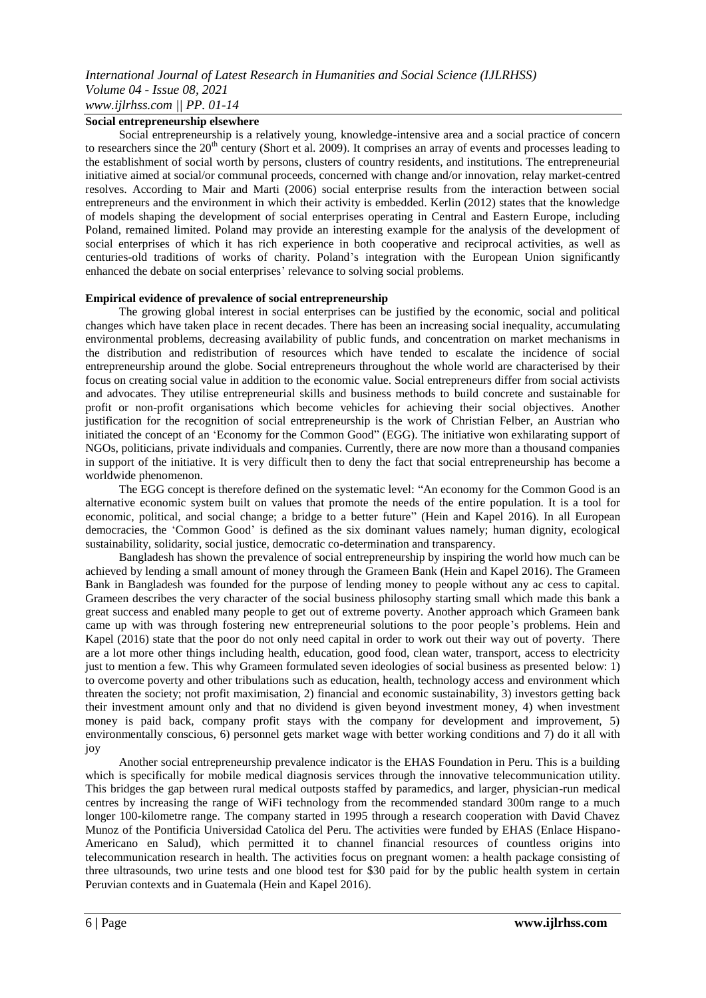#### **Social entrepreneurship elsewhere**

Social entrepreneurship is a relatively young, knowledge-intensive area and a social practice of concern to researchers since the  $20<sup>th</sup>$  century (Short et al. 2009). It comprises an array of events and processes leading to the establishment of social worth by persons, clusters of country residents, and institutions. The entrepreneurial initiative aimed at social/or communal proceeds, concerned with change and/or innovation, relay market-centred resolves. According to Mair and Marti (2006) social enterprise results from the interaction between social entrepreneurs and the environment in which their activity is embedded. Kerlin (2012) states that the knowledge of models shaping the development of social enterprises operating in Central and Eastern Europe, including Poland, remained limited. Poland may provide an interesting example for the analysis of the development of social enterprises of which it has rich experience in both cooperative and reciprocal activities, as well as centuries-old traditions of works of charity. Poland"s integration with the European Union significantly enhanced the debate on social enterprises' relevance to solving social problems.

#### **Empirical evidence of prevalence of social entrepreneurship**

The growing global interest in social enterprises can be justified by the economic, social and political changes which have taken place in recent decades. There has been an increasing social inequality, accumulating environmental problems, decreasing availability of public funds, and concentration on market mechanisms in the distribution and redistribution of resources which have tended to escalate the incidence of social entrepreneurship around the globe. Social entrepreneurs throughout the whole world are characterised by their focus on creating social value in addition to the economic value. Social entrepreneurs differ from social activists and advocates. They utilise entrepreneurial skills and business methods to build concrete and sustainable for profit or non-profit organisations which become vehicles for achieving their social objectives. Another justification for the recognition of social entrepreneurship is the work of Christian Felber, an Austrian who initiated the concept of an "Economy for the Common Good" (EGG). The initiative won exhilarating support of NGOs, politicians, private individuals and companies. Currently, there are now more than a thousand companies in support of the initiative. It is very difficult then to deny the fact that social entrepreneurship has become a worldwide phenomenon.

The EGG concept is therefore defined on the systematic level: "An economy for the Common Good is an alternative economic system built on values that promote the needs of the entire population. It is a tool for economic, political, and social change; a bridge to a better future" (Hein and Kapel 2016). In all European democracies, the "Common Good" is defined as the six dominant values namely; human dignity, ecological sustainability, solidarity, social justice, democratic co-determination and transparency.

Bangladesh has shown the prevalence of social entrepreneurship by inspiring the world how much can be achieved by lending a small amount of money through the Grameen Bank (Hein and Kapel 2016). The Grameen Bank in Bangladesh was founded for the purpose of lending money to people without any ac cess to capital. Grameen describes the very character of the social business philosophy starting small which made this bank a great success and enabled many people to get out of extreme poverty. Another approach which Grameen bank came up with was through fostering new entrepreneurial solutions to the poor people"s problems. Hein and Kapel (2016) state that the poor do not only need capital in order to work out their way out of poverty. There are a lot more other things including health, education, good food, clean water, transport, access to electricity just to mention a few. This why Grameen formulated seven ideologies of social business as presented below: 1) to overcome poverty and other tribulations such as education, health, technology access and environment which threaten the society; not profit maximisation, 2) financial and economic sustainability, 3) investors getting back their investment amount only and that no dividend is given beyond investment money, 4) when investment money is paid back, company profit stays with the company for development and improvement, 5) environmentally conscious, 6) personnel gets market wage with better working conditions and 7) do it all with joy

Another social entrepreneurship prevalence indicator is the EHAS Foundation in Peru. This is a building which is specifically for mobile medical diagnosis services through the innovative telecommunication utility. This bridges the gap between rural medical outposts staffed by paramedics, and larger, physician-run medical centres by increasing the range of WiFi technology from the recommended standard 300m range to a much longer 100-kilometre range. The company started in 1995 through a research cooperation with David Chavez Munoz of the Pontificia Universidad Catolica del Peru. The activities were funded by EHAS (Enlace Hispano-Americano en Salud), which permitted it to channel financial resources of countless origins into telecommunication research in health. The activities focus on pregnant women: a health package consisting of three ultrasounds, two urine tests and one blood test for \$30 paid for by the public health system in certain Peruvian contexts and in Guatemala (Hein and Kapel 2016).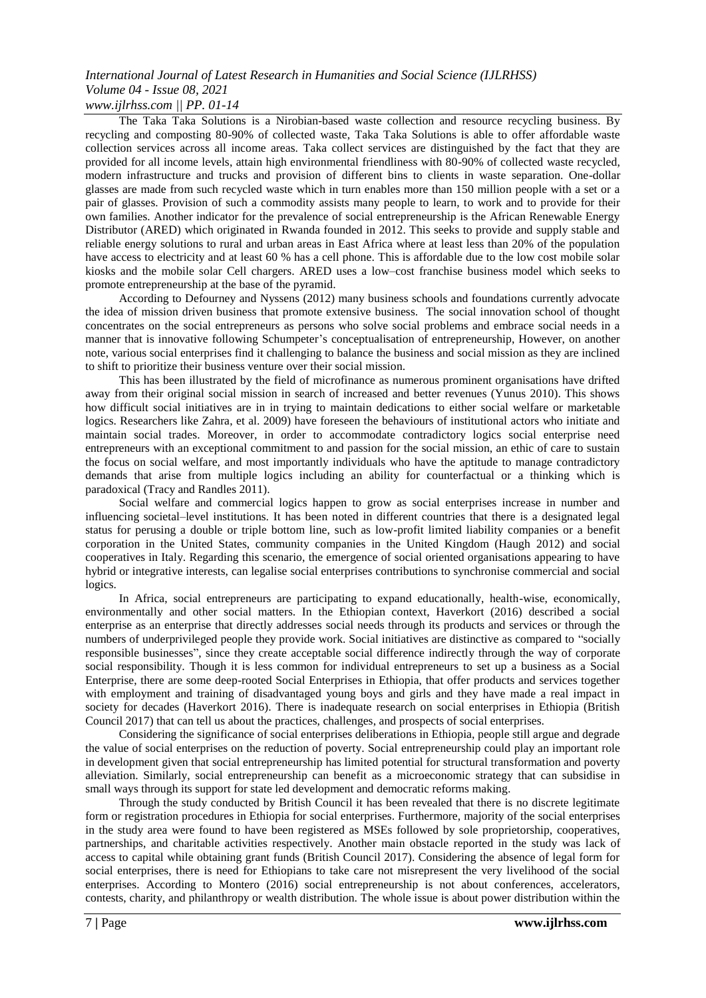*www.ijlrhss.com || PP. 01-14*

The Taka Taka Solutions is a Nirobian-based waste collection and resource recycling business. By recycling and composting 80-90% of collected waste, Taka Taka Solutions is able to offer affordable waste collection services across all income areas. Taka collect services are distinguished by the fact that they are provided for all income levels, attain high environmental friendliness with 80-90% of collected waste recycled, modern infrastructure and trucks and provision of different bins to clients in waste separation. One-dollar glasses are made from such recycled waste which in turn enables more than 150 million people with a set or a pair of glasses. Provision of such a commodity assists many people to learn, to work and to provide for their own families. Another indicator for the prevalence of social entrepreneurship is the African Renewable Energy Distributor (ARED) which originated in Rwanda founded in 2012. This seeks to provide and supply stable and reliable energy solutions to rural and urban areas in East Africa where at least less than 20% of the population have access to electricity and at least 60 % has a cell phone. This is affordable due to the low cost mobile solar kiosks and the mobile solar Cell chargers. ARED uses a low–cost franchise business model which seeks to promote entrepreneurship at the base of the pyramid.

According to Defourney and Nyssens (2012) many business schools and foundations currently advocate the idea of mission driven business that promote extensive business. The social innovation school of thought concentrates on the social entrepreneurs as persons who solve social problems and embrace social needs in a manner that is innovative following Schumpeter"s conceptualisation of entrepreneurship, However, on another note, various social enterprises find it challenging to balance the business and social mission as they are inclined to shift to prioritize their business venture over their social mission.

This has been illustrated by the field of microfinance as numerous prominent organisations have drifted away from their original social mission in search of increased and better revenues (Yunus 2010). This shows how difficult social initiatives are in in trying to maintain dedications to either social welfare or marketable logics. Researchers like Zahra, et al. 2009) have foreseen the behaviours of institutional actors who initiate and maintain social trades. Moreover, in order to accommodate contradictory logics social enterprise need entrepreneurs with an exceptional commitment to and passion for the social mission, an ethic of care to sustain the focus on social welfare, and most importantly individuals who have the aptitude to manage contradictory demands that arise from multiple logics including an ability for counterfactual or a thinking which is paradoxical (Tracy and Randles 2011).

Social welfare and commercial logics happen to grow as social enterprises increase in number and influencing societal–level institutions. It has been noted in different countries that there is a designated legal status for perusing a double or triple bottom line, such as low-profit limited liability companies or a benefit corporation in the United States, community companies in the United Kingdom (Haugh 2012) and social cooperatives in Italy. Regarding this scenario, the emergence of social oriented organisations appearing to have hybrid or integrative interests, can legalise social enterprises contributions to synchronise commercial and social logics.

In Africa, social entrepreneurs are participating to expand educationally, health-wise, economically, environmentally and other social matters. In the Ethiopian context, Haverkort (2016) described a social enterprise as an enterprise that directly addresses social needs through its products and services or through the numbers of underprivileged people they provide work. Social initiatives are distinctive as compared to "socially responsible businesses", since they create acceptable social difference indirectly through the way of corporate social responsibility. Though it is less common for individual entrepreneurs to set up a business as a Social Enterprise, there are some deep-rooted Social Enterprises in Ethiopia, that offer products and services together with employment and training of disadvantaged young boys and girls and they have made a real impact in society for decades (Haverkort 2016). There is inadequate research on social enterprises in Ethiopia (British Council 2017) that can tell us about the practices, challenges, and prospects of social enterprises.

Considering the significance of social enterprises deliberations in Ethiopia, people still argue and degrade the value of social enterprises on the reduction of poverty. Social entrepreneurship could play an important role in development given that social entrepreneurship has limited potential for structural transformation and poverty alleviation. Similarly, social entrepreneurship can benefit as a microeconomic strategy that can subsidise in small ways through its support for state led development and democratic reforms making*.*

Through the study conducted by British Council it has been revealed that there is no discrete legitimate form or registration procedures in Ethiopia for social enterprises. Furthermore, majority of the social enterprises in the study area were found to have been registered as MSEs followed by sole proprietorship, cooperatives, partnerships, and charitable activities respectively. Another main obstacle reported in the study was lack of access to capital while obtaining grant funds (British Council 2017). Considering the absence of legal form for social enterprises, there is need for Ethiopians to take care not misrepresent the very livelihood of the social enterprises. According to Montero (2016) social entrepreneurship is not about conferences, accelerators, contests, charity, and philanthropy or wealth distribution. The whole issue is about power distribution within the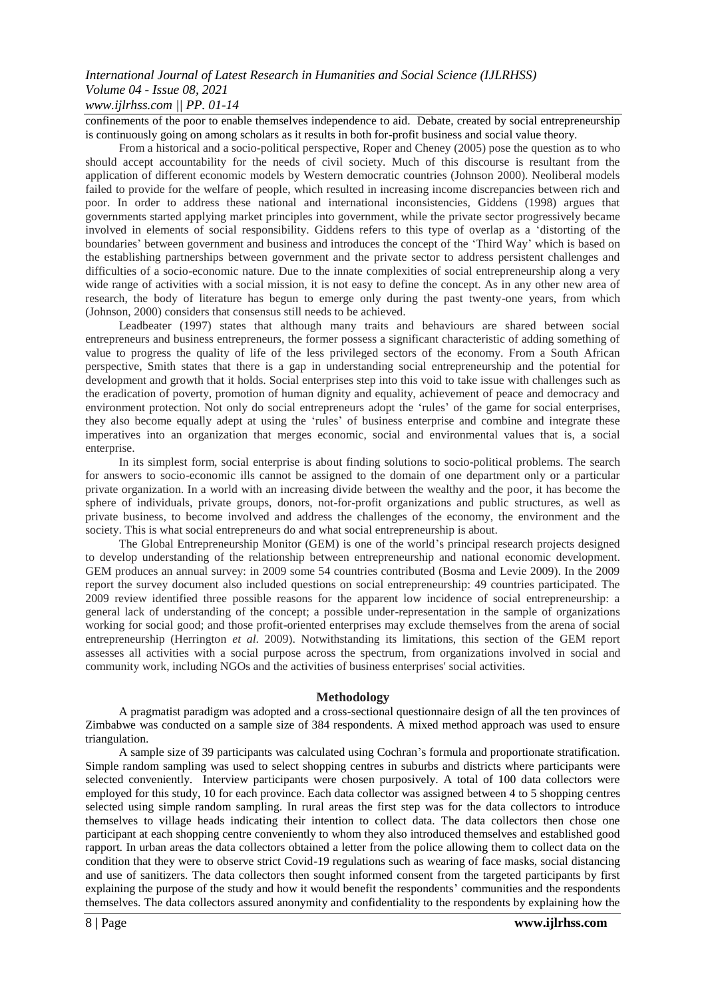confinements of the poor to enable themselves independence to aid. Debate, created by social entrepreneurship is continuously going on among scholars as it results in both for-profit business and social value theory.

From a historical and a socio-political perspective, Roper and Cheney (2005) pose the question as to who should accept accountability for the needs of civil society. Much of this discourse is resultant from the application of different economic models by Western democratic countries (Johnson 2000). Neoliberal models failed to provide for the welfare of people, which resulted in increasing income discrepancies between rich and poor. In order to address these national and international inconsistencies, Giddens (1998) argues that governments started applying market principles into government, while the private sector progressively became involved in elements of social responsibility. Giddens refers to this type of overlap as a "distorting of the boundaries" between government and business and introduces the concept of the "Third Way" which is based on the establishing partnerships between government and the private sector to address persistent challenges and difficulties of a socio-economic nature. Due to the innate complexities of social entrepreneurship along a very wide range of activities with a social mission, it is not easy to define the concept. As in any other new area of research, the body of literature has begun to emerge only during the past twenty-one years, from which (Johnson, 2000) considers that consensus still needs to be achieved.

Leadbeater (1997) states that although many traits and behaviours are shared between social entrepreneurs and business entrepreneurs, the former possess a significant characteristic of adding something of value to progress the quality of life of the less privileged sectors of the economy. From a South African perspective, Smith states that there is a gap in understanding social entrepreneurship and the potential for development and growth that it holds. Social enterprises step into this void to take issue with challenges such as the eradication of poverty, promotion of human dignity and equality, achievement of peace and democracy and environment protection. Not only do social entrepreneurs adopt the "rules" of the game for social enterprises, they also become equally adept at using the "rules" of business enterprise and combine and integrate these imperatives into an organization that merges economic, social and environmental values that is, a social enterprise.

In its simplest form, social enterprise is about finding solutions to socio-political problems. The search for answers to socio-economic ills cannot be assigned to the domain of one department only or a particular private organization. In a world with an increasing divide between the wealthy and the poor, it has become the sphere of individuals, private groups, donors, not-for-profit organizations and public structures, as well as private business, to become involved and address the challenges of the economy, the environment and the society. This is what social entrepreneurs do and what social entrepreneurship is about.

The Global Entrepreneurship Monitor (GEM) is one of the world's principal research projects designed to develop understanding of the relationship between entrepreneurship and national economic development. GEM produces an annual survey: in 2009 some 54 countries contributed (Bosma and Levie 2009). In the 2009 report the survey document also included questions on social entrepreneurship: 49 countries participated. The 2009 review identified three possible reasons for the apparent low incidence of social entrepreneurship: a general lack of understanding of the concept; a possible under-representation in the sample of organizations working for social good; and those profit-oriented enterprises may exclude themselves from the arena of social entrepreneurship (Herrington *et al*. 2009). Notwithstanding its limitations, this section of the GEM report assesses all activities with a social purpose across the spectrum, from organizations involved in social and community work, including NGOs and the activities of business enterprises' social activities.

#### **Methodology**

A pragmatist paradigm was adopted and a cross-sectional questionnaire design of all the ten provinces of Zimbabwe was conducted on a sample size of 384 respondents. A mixed method approach was used to ensure triangulation.

A sample size of 39 participants was calculated using Cochran"s formula and proportionate stratification. Simple random sampling was used to select shopping centres in suburbs and districts where participants were selected conveniently. Interview participants were chosen purposively. A total of 100 data collectors were employed for this study, 10 for each province. Each data collector was assigned between 4 to 5 shopping centres selected using simple random sampling. In rural areas the first step was for the data collectors to introduce themselves to village heads indicating their intention to collect data. The data collectors then chose one participant at each shopping centre conveniently to whom they also introduced themselves and established good rapport. In urban areas the data collectors obtained a letter from the police allowing them to collect data on the condition that they were to observe strict Covid-19 regulations such as wearing of face masks, social distancing and use of sanitizers. The data collectors then sought informed consent from the targeted participants by first explaining the purpose of the study and how it would benefit the respondents" communities and the respondents themselves. The data collectors assured anonymity and confidentiality to the respondents by explaining how the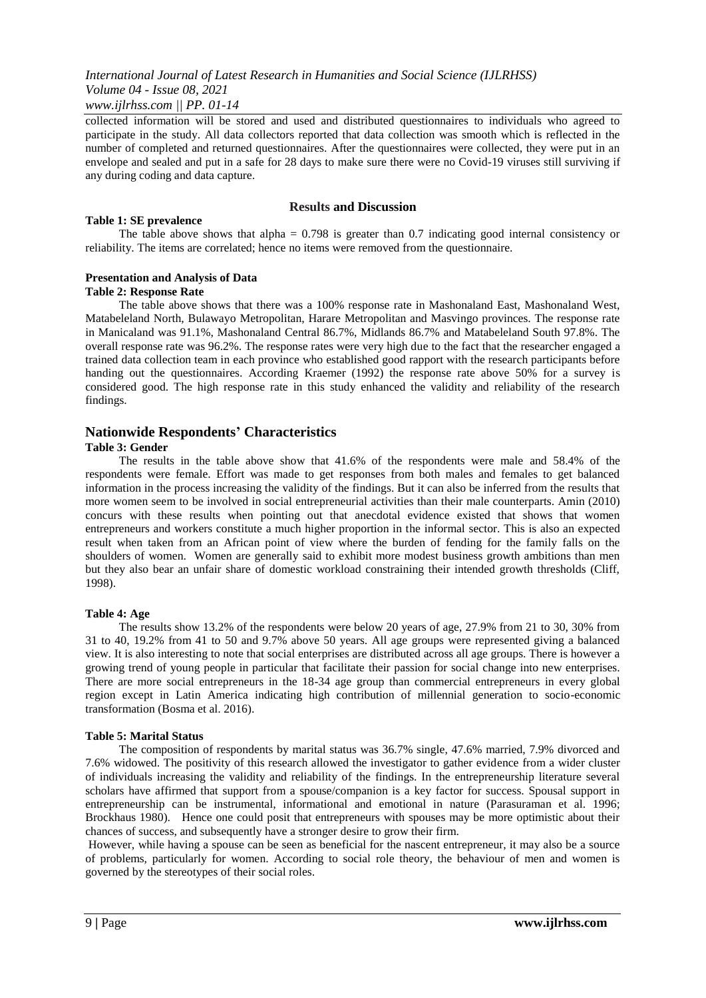*www.ijlrhss.com || PP. 01-14*

collected information will be stored and used and distributed questionnaires to individuals who agreed to participate in the study. All data collectors reported that data collection was smooth which is reflected in the number of completed and returned questionnaires. After the questionnaires were collected, they were put in an envelope and sealed and put in a safe for 28 days to make sure there were no Covid-19 viruses still surviving if any during coding and data capture.

### **Results and Discussion**

#### **Table 1: SE prevalence**

The table above shows that alpha  $= 0.798$  is greater than 0.7 indicating good internal consistency or reliability. The items are correlated; hence no items were removed from the questionnaire.

# **Presentation and Analysis of Data**

#### **Table 2: Response Rate**

The table above shows that there was a 100% response rate in Mashonaland East, Mashonaland West, Matabeleland North, Bulawayo Metropolitan, Harare Metropolitan and Masvingo provinces. The response rate in Manicaland was 91.1%, Mashonaland Central 86.7%, Midlands 86.7% and Matabeleland South 97.8%. The overall response rate was 96.2%. The response rates were very high due to the fact that the researcher engaged a trained data collection team in each province who established good rapport with the research participants before handing out the questionnaires. According Kraemer (1992) the response rate above 50% for a survey is considered good. The high response rate in this study enhanced the validity and reliability of the research findings.

# **Nationwide Respondents' Characteristics**

# **Table 3: Gender**

The results in the table above show that 41.6% of the respondents were male and 58.4% of the respondents were female. Effort was made to get responses from both males and females to get balanced information in the process increasing the validity of the findings. But it can also be inferred from the results that more women seem to be involved in social entrepreneurial activities than their male counterparts. Amin (2010) concurs with these results when pointing out that anecdotal evidence existed that shows that women entrepreneurs and workers constitute a much higher proportion in the informal sector. This is also an expected result when taken from an African point of view where the burden of fending for the family falls on the shoulders of women. Women are generally said to exhibit more modest business growth ambitions than men but they also bear an unfair share of domestic workload constraining their intended growth thresholds (Cliff, 1998).

#### **Table 4: Age**

The results show 13.2% of the respondents were below 20 years of age, 27.9% from 21 to 30, 30% from 31 to 40, 19.2% from 41 to 50 and 9.7% above 50 years. All age groups were represented giving a balanced view. It is also interesting to note that social enterprises are distributed across all age groups. There is however a growing trend of young people in particular that facilitate their passion for social change into new enterprises. There are more social entrepreneurs in the 18-34 age group than commercial entrepreneurs in every global region except in Latin America indicating high contribution of millennial generation to socio-economic transformation (Bosma et al. 2016).

#### **Table 5: Marital Status**

The composition of respondents by marital status was 36.7% single, 47.6% married, 7.9% divorced and 7.6% widowed. The positivity of this research allowed the investigator to gather evidence from a wider cluster of individuals increasing the validity and reliability of the findings. In the entrepreneurship literature several scholars have affirmed that support from a spouse/companion is a key factor for success. Spousal support in entrepreneurship can be instrumental, informational and emotional in nature (Parasuraman et al. 1996; Brockhaus 1980). Hence one could posit that entrepreneurs with spouses may be more optimistic about their chances of success, and subsequently have a stronger desire to grow their firm.

However, while having a spouse can be seen as beneficial for the nascent entrepreneur, it may also be a source of problems, particularly for women. According to social role theory, the behaviour of men and women is governed by the stereotypes of their social roles.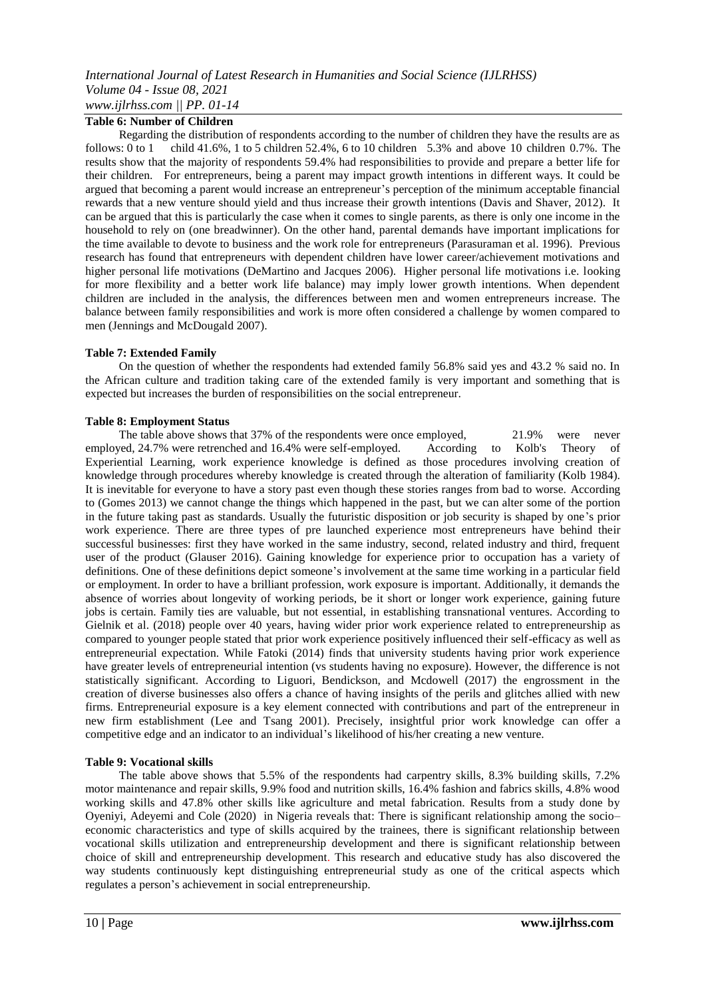## **Table 6: Number of Children**

Regarding the distribution of respondents according to the number of children they have the results are as follows: 0 to 1 child 41.6%, 1 to 5 children 52.4%, 6 to 10 children 5.3% and above 10 children 0.7%. The results show that the majority of respondents 59.4% had responsibilities to provide and prepare a better life for their children. For entrepreneurs, being a parent may impact growth intentions in different ways. It could be argued that becoming a parent would increase an entrepreneur"s perception of the minimum acceptable financial rewards that a new venture should yield and thus increase their growth intentions (Davis and Shaver, 2012). It can be argued that this is particularly the case when it comes to single parents, as there is only one income in the household to rely on (one breadwinner). On the other hand, parental demands have important implications for the time available to devote to business and the work role for entrepreneurs (Parasuraman et al. 1996). Previous research has found that entrepreneurs with dependent children have lower career/achievement motivations and higher personal life motivations (DeMartino and Jacques 2006). Higher personal life motivations i.e. looking for more flexibility and a better work life balance) may imply lower growth intentions. When dependent children are included in the analysis, the differences between men and women entrepreneurs increase. The balance between family responsibilities and work is more often considered a challenge by women compared to men (Jennings and McDougald 2007).

#### **Table 7: Extended Family**

On the question of whether the respondents had extended family 56.8% said yes and 43.2 % said no. In the African culture and tradition taking care of the extended family is very important and something that is expected but increases the burden of responsibilities on the social entrepreneur.

#### **Table 8: Employment Status**

The table above shows that 37% of the respondents were once employed, 21.9% were never employed, 24.7% were retrenched and 16.4% were self-employed. According to Kolb's Theory of Experiential Learning, work experience knowledge is defined as those procedures involving creation of knowledge through procedures whereby knowledge is created through the alteration of familiarity (Kolb 1984). It is inevitable for everyone to have a story past even though these stories ranges from bad to worse. According to (Gomes 2013) we cannot change the things which happened in the past, but we can alter some of the portion in the future taking past as standards. Usually the futuristic disposition or job security is shaped by one"s prior work experience. There are three types of pre launched experience most entrepreneurs have behind their successful businesses: first they have worked in the same industry, second, related industry and third, frequent user of the product (Glauser 2016). Gaining knowledge for experience prior to occupation has a variety of definitions. One of these definitions depict someone's involvement at the same time working in a particular field or employment. In order to have a brilliant profession, work exposure is important. Additionally, it demands the absence of worries about longevity of working periods, be it short or longer work experience, gaining future jobs is certain. Family ties are valuable, but not essential, in establishing transnational ventures. According to Gielnik et al. (2018) people over 40 years, having wider prior work experience related to entrepreneurship as compared to younger people stated that prior work experience positively influenced their self-efficacy as well as entrepreneurial expectation. While Fatoki (2014) finds that university students having prior work experience have greater levels of entrepreneurial intention (vs students having no exposure). However, the difference is not statistically significant. According to Liguori, Bendickson, and Mcdowell (2017) the engrossment in the creation of diverse businesses also offers a chance of having insights of the perils and glitches allied with new firms. Entrepreneurial exposure is a key element connected with contributions and part of the entrepreneur in new firm establishment (Lee and Tsang 2001). Precisely, insightful prior work knowledge can offer a competitive edge and an indicator to an individual"s likelihood of his/her creating a new venture.

#### **Table 9: Vocational skills**

The table above shows that 5.5% of the respondents had carpentry skills, 8.3% building skills, 7.2% motor maintenance and repair skills, 9.9% food and nutrition skills, 16.4% fashion and fabrics skills, 4.8% wood working skills and 47.8% other skills like agriculture and metal fabrication. Results from a study done by Oyeniyi, Adeyemi and Cole (2020) in Nigeria reveals that: There is significant relationship among the socio– economic characteristics and type of skills acquired by the trainees, there is significant relationship between vocational skills utilization and entrepreneurship development and there is significant relationship between choice of skill and entrepreneurship development. This research and educative study has also discovered the way students continuously kept distinguishing entrepreneurial study as one of the critical aspects which regulates a person"s achievement in social entrepreneurship.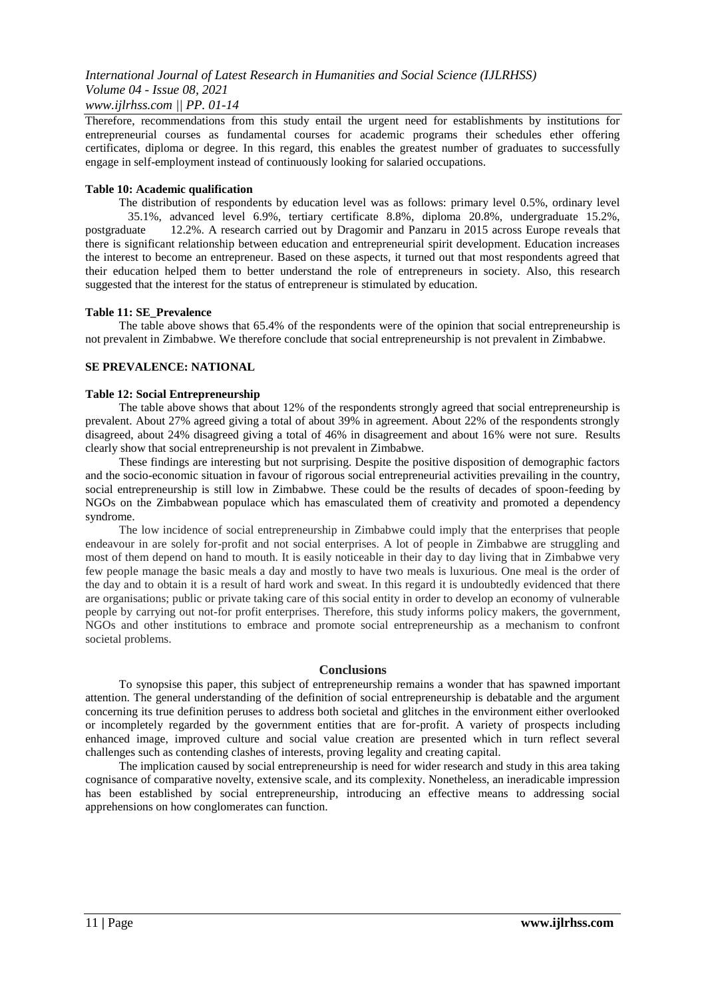Therefore, recommendations from this study entail the urgent need for establishments by institutions for entrepreneurial courses as fundamental courses for academic programs their schedules ether offering certificates, diploma or degree. In this regard, this enables the greatest number of graduates to successfully engage in self-employment instead of continuously looking for salaried occupations.

## **Table 10: Academic qualification**

The distribution of respondents by education level was as follows: primary level 0.5%, ordinary level 35.1%, advanced level 6.9%, tertiary certificate 8.8%, diploma 20.8%, undergraduate 15.2%, postgraduate 12.2%. A research carried out by Dragomir and Panzaru in 2015 across Europe reveals that there is significant relationship between education and entrepreneurial spirit development. Education increases the interest to become an entrepreneur. Based on these aspects, it turned out that most respondents agreed that their education helped them to better understand the role of entrepreneurs in society. Also, this research suggested that the interest for the status of entrepreneur is stimulated by education.

#### **Table 11: SE\_Prevalence**

The table above shows that 65.4% of the respondents were of the opinion that social entrepreneurship is not prevalent in Zimbabwe. We therefore conclude that social entrepreneurship is not prevalent in Zimbabwe.

# **SE PREVALENCE: NATIONAL**

#### **Table 12: Social Entrepreneurship**

The table above shows that about 12% of the respondents strongly agreed that social entrepreneurship is prevalent. About 27% agreed giving a total of about 39% in agreement. About 22% of the respondents strongly disagreed, about 24% disagreed giving a total of 46% in disagreement and about 16% were not sure. Results clearly show that social entrepreneurship is not prevalent in Zimbabwe.

These findings are interesting but not surprising. Despite the positive disposition of demographic factors and the socio-economic situation in favour of rigorous social entrepreneurial activities prevailing in the country, social entrepreneurship is still low in Zimbabwe. These could be the results of decades of spoon-feeding by NGOs on the Zimbabwean populace which has emasculated them of creativity and promoted a dependency syndrome.

The low incidence of social entrepreneurship in Zimbabwe could imply that the enterprises that people endeavour in are solely for-profit and not social enterprises. A lot of people in Zimbabwe are struggling and most of them depend on hand to mouth. It is easily noticeable in their day to day living that in Zimbabwe very few people manage the basic meals a day and mostly to have two meals is luxurious. One meal is the order of the day and to obtain it is a result of hard work and sweat. In this regard it is undoubtedly evidenced that there are organisations; public or private taking care of this social entity in order to develop an economy of vulnerable people by carrying out not-for profit enterprises. Therefore, this study informs policy makers, the government, NGOs and other institutions to embrace and promote social entrepreneurship as a mechanism to confront societal problems.

#### **Conclusions**

To synopsise this paper, this subject of entrepreneurship remains a wonder that has spawned important attention. The general understanding of the definition of social entrepreneurship is debatable and the argument concerning its true definition peruses to address both societal and glitches in the environment either overlooked or incompletely regarded by the government entities that are for-profit. A variety of prospects including enhanced image, improved culture and social value creation are presented which in turn reflect several challenges such as contending clashes of interests, proving legality and creating capital.

The implication caused by social entrepreneurship is need for wider research and study in this area taking cognisance of comparative novelty, extensive scale, and its complexity. Nonetheless, an ineradicable impression has been established by social entrepreneurship, introducing an effective means to addressing social apprehensions on how conglomerates can function.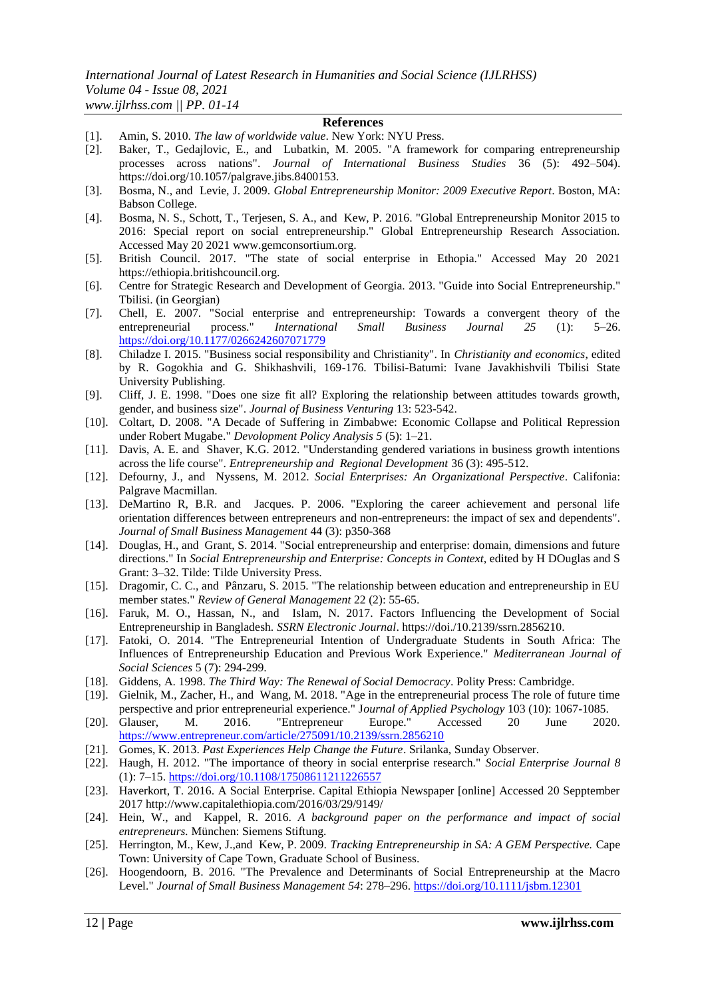# **References**

- [1]. Amin, S. 2010. *The law of worldwide value*. New York: NYU Press.
- [2]. Baker, T., Gedajlovic, E., and Lubatkin, M. 2005. "A framework for comparing entrepreneurship processes across nations". *Journal of International Business Studies* 36 (5): 492–504). https://doi.org/10.1057/palgrave.jibs.8400153.
- [3]. Bosma, N., and Levie, J. 2009. *Global Entrepreneurship Monitor: 2009 Executive Report*. Boston, MA: Babson College.
- [4]. Bosma, N. S., Schott, T., Terjesen, S. A., and Kew, P. 2016. "Global Entrepreneurship Monitor 2015 to 2016: Special report on social entrepreneurship." Global Entrepreneurship Research Association. Accessed May 20 2021 www.gemconsortium.org.
- [5]. British Council. 2017. "The state of social enterprise in Ethopia." Accessed May 20 2021 https://ethiopia.britishcouncil.org.
- [6]. Centre for Strategic Research and Development of Georgia. 2013. "Guide into Social Entrepreneurship." Tbilisi. (in Georgian)
- [7]. Chell, E. 2007. "Social enterprise and entrepreneurship: Towards a convergent theory of the entrepreneurial process." *International Small Business Journal 25* (1): 5–26. <https://doi.org/10.1177/0266242607071779>
- [8]. Chiladze I. 2015. "Business social responsibility and Christianity". In *Christianity and economics*, edited by R. Gogokhia and G. Shikhashvili, 169-176. Tbilisi-Batumi: Ivane Javakhishvili Tbilisi State University Publishing.
- [9]. Cliff, J. E. 1998. "Does one size fit all? Exploring the relationship between attitudes towards growth, gender, and business size". *Journal of Business Venturing* 13: 523-542.
- [10]. Coltart, D. 2008. "A Decade of Suffering in Zimbabwe: Economic Collapse and Political Repression under Robert Mugabe." *Devolopment Policy Analysis 5* (5): 1–21.
- [11]. Davis, A. E. and Shaver, K.G. 2012. "Understanding gendered variations in business growth intentions across the life course". *Entrepreneurship and Regional Development* 36 (3): 495-512.
- [12]. Defourny, J., and Nyssens, M. 2012. *Social Enterprises: An Organizational Perspective*. Califonia: Palgrave Macmillan.
- [13]. DeMartino R, B.R. and Jacques. P. 2006. "Exploring the career achievement and personal life orientation differences between entrepreneurs and non-entrepreneurs: the impact of sex and dependents". *Journal of Small Business Management* 44 (3): p350-368
- [14]. Douglas, H., and Grant, S. 2014. "Social entrepreneurship and enterprise: domain, dimensions and future directions." In *Social Entrepreneurship and Enterprise: Concepts in Context*, edited by H DOuglas and S Grant: 3–32. Tilde: Tilde University Press.
- [15]. Dragomir, C. C., and Pânzaru, S. 2015. "The relationship between education and entrepreneurship in EU member states." *Review of General Management* 22 (2): 55-65.
- [16]. Faruk, M. O., Hassan, N., and Islam, N. 2017. Factors Influencing the Development of Social Entrepreneurship in Bangladesh. *SSRN Electronic Journal*. https://doi./10.2139/ssrn.2856210.
- [17]. Fatoki, O. 2014. "The Entrepreneurial Intention of Undergraduate Students in South Africa: The Influences of Entrepreneurship Education and Previous Work Experience." *Mediterranean Journal of Social Sciences* 5 (7): 294-299.
- [18]. Giddens, A. 1998. *The Third Way: The Renewal of Social Democracy*. Polity Press: Cambridge.
- [19]. Gielnik, M., Zacher, H., and Wang, M. 2018. "Age in the entrepreneurial process The role of future time perspective and prior entrepreneurial experience." J*ournal of Applied Psychology* 103 (10): 1067-1085.
- [20]. Glauser, M. 2016. "Entrepreneur Europe." Accessed 20 June 2020. <https://www.entrepreneur.com/article/275091/10.2139/ssrn.2856210>
- [21]. Gomes, K. 2013. *Past Experiences Help Change the Future*. Srilanka, Sunday Observer.
- [22]. Haugh, H. 2012. "The importance of theory in social enterprise research." *Social Enterprise Journal 8*  (1): 7–15.<https://doi.org/10.1108/17508611211226557>
- [23]. Haverkort, T. 2016. A Social Enterprise. Capital Ethiopia Newspaper [online] Accessed 20 Sepptember 2017 http://www.capitalethiopia.com/2016/03/29/9149/
- [24]. Hein, W., and Kappel, R. 2016. *A background paper on the performance and impact of social entrepreneurs.* München: Siemens Stiftung.
- [25]. Herrington, M., Kew, J.,and Kew, P. 2009. *Tracking Entrepreneurship in SA: A GEM Perspective.* Cape Town: University of Cape Town, Graduate School of Business.
- [26]. Hoogendoorn, B. 2016. "The Prevalence and Determinants of Social Entrepreneurship at the Macro Level." *Journal of Small Business Management 54*: 278–296.<https://doi.org/10.1111/jsbm.12301>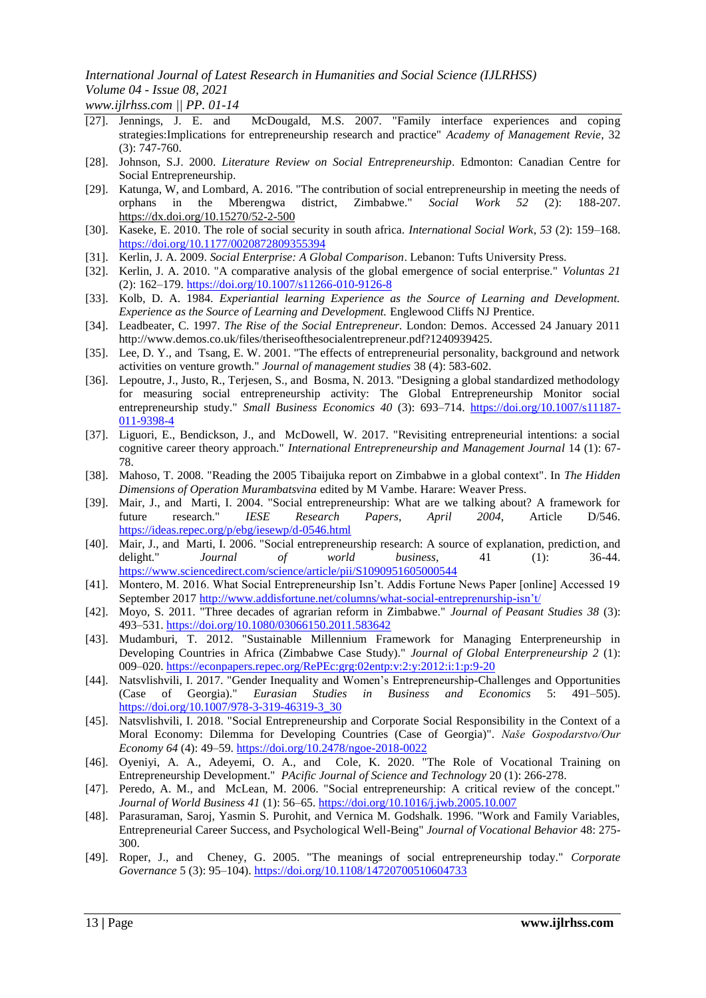*www.ijlrhss.com || PP. 01-14*

- [27]. Jennings, J. E. and McDougald, M.S. 2007. "Family interface experiences and coping strategies:Implications for entrepreneurship research and practice" *Academy of Management Revie*, 32 (3): 747-760.
- [28]. Johnson, S.J. 2000. *Literature Review on Social Entrepreneurship*. Edmonton: Canadian Centre for Social Entrepreneurship.
- [29]. Katunga, W, and Lombard, A. 2016. "The contribution of social entrepreneurship in meeting the needs of orphans in the Mberengwa district, Zimbabwe." *Social Work 52* (2): 188-207. [https://dx.d](https://dx.doi.org/10.15270/52-2-500)o[i.o](https://dx.doi.org/10.15270/52-2-500)r[g/10.15270/52-2-500](https://dx.doi.org/10.15270/52-2-500)
- [30]. Kaseke, E. 2010. The role of social security in south africa. *International Social Work*, *53* (2): 159–168. <https://doi.org/10.1177/0020872809355394>
- [31]. Kerlin, J. A. 2009. *Social Enterprise: A Global Comparison*. Lebanon: Tufts University Press.
- [32]. Kerlin, J. A. 2010. "A comparative analysis of the global emergence of social enterprise." *Voluntas 21*  (2): 162–179.<https://doi.org/10.1007/s11266-010-9126-8>
- [33]. Kolb, D. A. 1984. *Experiantial learning Experience as the Source of Learning and Development. Experience as the Source of Learning and Development.* Englewood Cliffs NJ Prentice.
- [34]. Leadbeater, C. 1997. *The Rise of the Social Entrepreneur.* London: Demos. Accessed 24 January 2011 http://www.demos.co.uk/files/theriseofthesocialentrepreneur.pdf?1240939425.
- [35]. Lee, D. Y., and Tsang, E. W. 2001. "The effects of entrepreneurial personality, background and network activities on venture growth." *Journal of management studies* 38 (4): 583-602.
- [36]. Lepoutre, J., Justo, R., Terjesen, S., and Bosma, N. 2013. "Designing a global standardized methodology for measuring social entrepreneurship activity: The Global Entrepreneurship Monitor social entrepreneurship study." *Small Business Economics 40 (3): 693-714.* [https://doi.org/10.1007/s11187-](https://doi.org/10.1007/s11187-011-9398-4) [011-9398-4](https://doi.org/10.1007/s11187-011-9398-4)
- [37]. Liguori, E., Bendickson, J., and McDowell, W. 2017. "Revisiting entrepreneurial intentions: a social cognitive career theory approach." *International Entrepreneurship and Management Journal* 14 (1): 67- 78.
- [38]. Mahoso, T. 2008. "Reading the 2005 Tibaijuka report on Zimbabwe in a global context". In *The Hidden Dimensions of Operation Murambatsvina* edited by M Vambe. Harare: Weaver Press.
- [39]. Mair, J., and Marti, I. 2004. "Social entrepreneurship: What are we talking about? A framework for future research." *IESE Research Papers*, *April 2004*, Article D/546. <https://ideas.repec.org/p/ebg/iesewp/d-0546.html>
- [40]. Mair, J., and Marti, I. 2006. "Social entrepreneurship research: A source of explanation, prediction, and delight." *Journal of world business*, 41 (1): 36-44. <https://www.sciencedirect.com/science/article/pii/S1090951605000544>
- [41]. Montero, M. 2016. What Social Entrepreneurship Isn"t. Addis Fortune News Paper [online] Accessed 19 September 2017 [http://www.addisfortune.net/columns/what-social-entreprenurship-isn"t/](http://www.addisfortune.net/columns/what-social-entreprenurship-isn)
- [42]. Moyo, S. 2011. "Three decades of agrarian reform in Zimbabwe." *Journal of Peasant Studies 38* (3): 493–531.<https://doi.org/10.1080/03066150.2011.583642>
- [43]. Mudamburi, T. 2012. "Sustainable Millennium Framework for Managing Enterpreneurship in Developing Countries in Africa (Zimbabwe Case Study)." *Journal of Global Enterpreneurship 2* (1): 009–020.<https://econpapers.repec.org/RePEc:grg:02entp:v:2:y:2012:i:1:p:9-20>
- [44]. Natsvlishvili, I. 2017. "Gender Inequality and Women"s Entrepreneurship-Challenges and Opportunities (Case of Georgia)." *Eurasian Studies in Business and Economics* 5: 491–505). [https://doi.org/10.1007/978-3-319-46319-3\\_30](https://doi.org/10.1007/978-3-319-46319-3_30)
- [45]. Natsvlishvili, I. 2018. "Social Entrepreneurship and Corporate Social Responsibility in the Context of a Moral Economy: Dilemma for Developing Countries (Case of Georgia)". *Naše Gospodarstvo/Our Economy 64* (4): 49–59[. https://doi.org/10.2478/ngoe-2018-0022](https://doi.org/10.2478/ngoe-2018-0022)
- [46]. Oyeniyi, A. A., Adeyemi, O. A., and Cole, K. 2020. "The Role of Vocational Training on Entrepreneurship Development." *PAcific Journal of Science and Technology* 20 (1): 266-278.
- [47]. Peredo, A. M., and McLean, M. 2006. "Social entrepreneurship: A critical review of the concept." *Journal of World Business 41* (1): 56–65[. https://doi.org/10.1016/j.jwb.2005.10.007](https://doi.org/10.1016/j.jwb.2005.10.007)
- [48]. Parasuraman, Saroj, Yasmin S. Purohit, and Vernica M. Godshalk. 1996. "Work and Family Variables, Entrepreneurial Career Success, and Psychological Well-Being" *Journal of Vocational Behavior* 48: 275- 300.
- [49]. Roper, J., and Cheney, G. 2005. "The meanings of social entrepreneurship today." *Corporate Governance* 5 (3): 95–104).<https://doi.org/10.1108/14720700510604733>